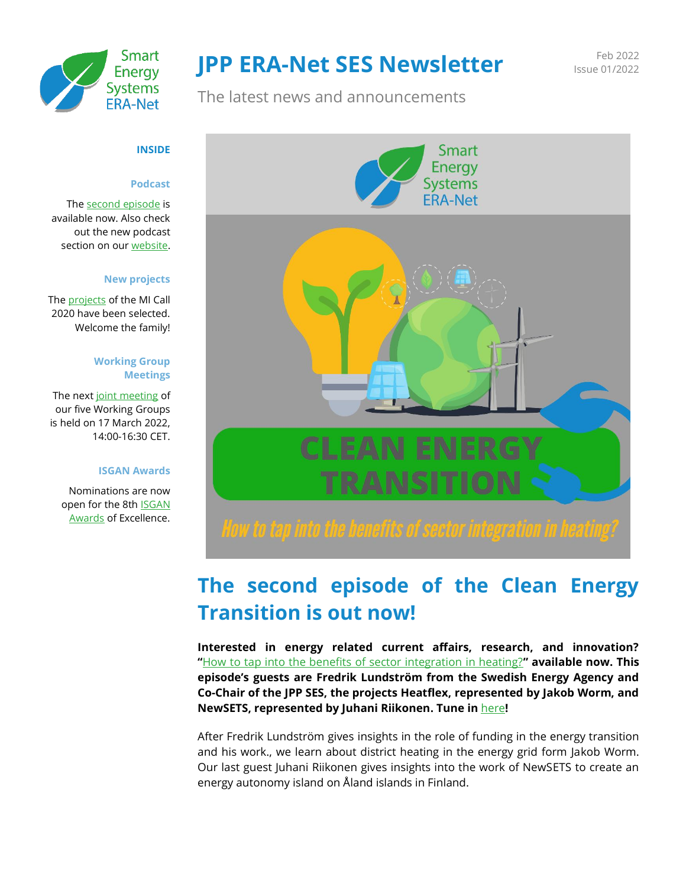

# **JPP ERA-Net SES Newsletter** Feb 2022

Issue 01/2022

The latest news and announcements



# **The second episode of the Clean Energy Transition is out now!**

**Interested in energy related current affairs, research, and innovation? "**[How to tap into the benefits of sector integration in heating?](https://open.spotify.com/episode/7LILXlEKD0gJDBYnA6OHrg?si=a665fcf6e80547ca&nd=1)**" available now. This episode's guests are Fredrik Lundström from the Swedish Energy Agency and Co-Chair of the JPP SES, the projects Heatflex, represented by Jakob Worm, and NewSETS, represented by Juhani Riikonen. Tune in** [here](https://open.spotify.com/episode/7LILXlEKD0gJDBYnA6OHrg?si=a665fcf6e80547ca)**!**

After Fredrik Lundström gives insights in the role of funding in the energy transition and his work., we learn about district heating in the energy grid form Jakob Worm. Our last guest Juhani Riikonen gives insights into the work of NewSETS to create an energy autonomy island on Åland islands in Finland.

#### **INSIDE**

#### **Podcast**

Th[e second episode](https://open.spotify.com/episode/7LILXlEKD0gJDBYnA6OHrg?si=a665fcf6e80547ca&nd=1) is available now. Also check out the new podcast section on ou[r website.](https://eranet-smartenergysystems.eu/Podcast)

#### **New projects**

The [projects](https://eranet-smartenergysystems.eu/Projects) of the MI Call 2020 have been selected. Welcome the family!

#### **Working Group Meetings**

The next [joint meeting](https://eranet-smartenergysystems.eu/Event/82/JPP-ERA-Net-SES-Virtual-Working-Group-Meeting-Spring-2022.html) of our five Working Groups is held on 17 March 2022, 14:00-16:30 CET.

#### **ISGAN Awards**

Nominations are now open for the 8th **ISGAN** [Awards](https://www.iea-isgan.org/award2022/) of Excellence.